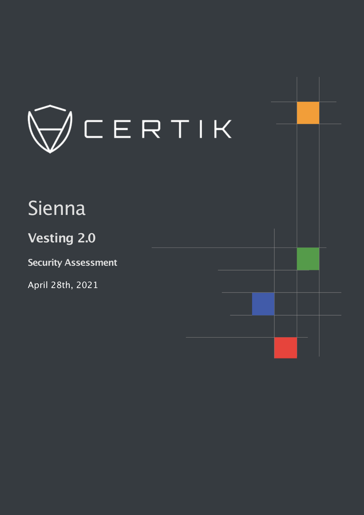

# Sienna

# **Vesting 2.0**

**Security Assessment**

April 28th, 2021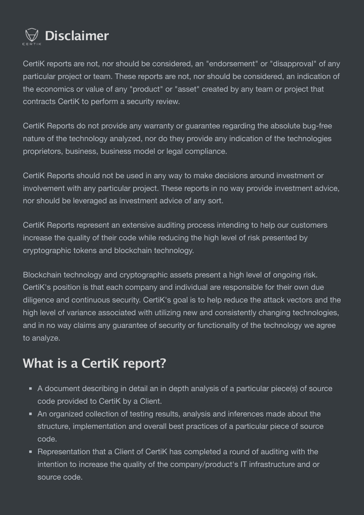

CertiK reports are not, nor should be considered, an "endorsement" or "disapproval" of any particular project or team. These reports are not, nor should be considered, an indication of the economics or value of any "product" or "asset" created by any team or project that contracts CertiK to perform a security review.

CertiK Reports do not provide any warranty or guarantee regarding the absolute bug-free nature of the technology analyzed, nor do they provide any indication of the technologies proprietors, business, business model or legal compliance.

CertiK Reports should not be used in any way to make decisions around investment or involvement with any particular project. These reports in no way provide investment advice, nor should be leveraged as investment advice of any sort.

CertiK Reports represent an extensive auditing process intending to help our customers increase the quality of their code while reducing the high level of risk presented by cryptographic tokens and blockchain technology.

Blockchain technology and cryptographic assets present a high level of ongoing risk. CertiK's position is that each company and individual are responsible for their own due diligence and continuous security. CertiK's goal is to help reduce the attack vectors and the high level of variance associated with utilizing new and consistently changing technologies, and in no way claims any guarantee of security or functionality of the technology we agree to analyze.

# **What is a CertiK report?**

- A document describing in detail an in depth analysis of a particular piece(s) of source code provided to CertiK by a Client.
- An organized collection of testing results, analysis and inferences made about the structure, implementation and overall best practices of a particular piece of source code.
- Representation that a Client of CertiK has completed a round of auditing with the intention to increase the quality of the company/product's IT infrastructure and or source code.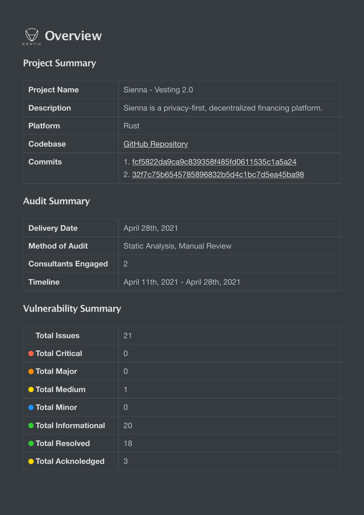

# **Project Summary**

| <b>Project Name</b> | Sienna - Vesting 2.0                                                                       |
|---------------------|--------------------------------------------------------------------------------------------|
| <b>Description</b>  | Sienna is a privacy-first, decentralized financing platform.                               |
| <b>Platform</b>     | <b>Rust</b>                                                                                |
| Codebase            | <b>GitHub Repository</b>                                                                   |
| <b>Commits</b>      | 1. fcf5822da9ca9c839358f485fd0611535c1a5a24<br>2. 32f7c75b6545785896832b5d4c1bc7d5ea45ba98 |

# **Audit Summary**

| <b>Delivery Date</b>       | April 28th, 2021                      |
|----------------------------|---------------------------------------|
| <b>Method of Audit</b>     | <b>Static Analysis, Manual Review</b> |
| <b>Consultants Engaged</b> | $\overline{2}$                        |
| <b>Timeline</b>            | April 11th, 2021 - April 28th, 2021   |

# **Vulnerability Summary**

| <b>Total Issues</b>        | 21             |
|----------------------------|----------------|
| <b>• Total Critical</b>    | $\overline{0}$ |
| <b>O</b> Total Major       | $\overline{0}$ |
| <b>O</b> Total Medium      | 1              |
| <b>• Total Minor</b>       | $\overline{0}$ |
| ● Total Informational      | 20             |
| ● Total Resolved           | 18             |
| <b>O</b> Total Acknoledged | $\mathbf{3}$   |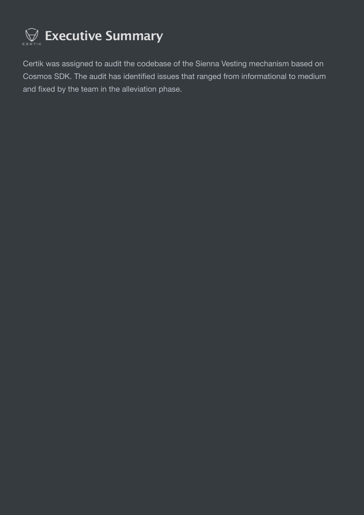

Certik was assigned to audit the codebase of the Sienna Vesting mechanism based on Cosmos SDK. The audit has identified issues that ranged from informational to medium and fixed by the team in the alleviation phase.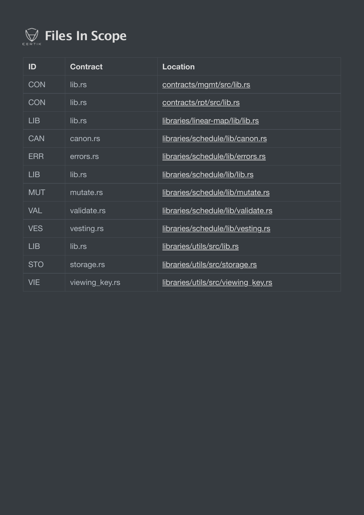

| ID         | <b>Contract</b> | <b>Location</b>                    |
|------------|-----------------|------------------------------------|
| <b>CON</b> | lib.rs          | contracts/mgmt/src/lib.rs          |
| <b>CON</b> | lib.rs          | contracts/rpt/src/lib.rs           |
| LIB        | lib.rs          | libraries/linear-map/lib/lib.rs    |
| <b>CAN</b> | canon.rs        | libraries/schedule/lib/canon.rs    |
| <b>ERR</b> | errors.rs       | libraries/schedule/lib/errors.rs   |
| LIB        | lib.rs          | libraries/schedule/lib/lib.rs      |
| <b>MUT</b> | mutate.rs       | libraries/schedule/lib/mutate.rs   |
| <b>VAL</b> | validate.rs     | libraries/schedule/lib/validate.rs |
| <b>VES</b> | vesting.rs      | libraries/schedule/lib/vesting.rs  |
| LIB        | lib.rs          | libraries/utils/src/lib.rs         |
| <b>STO</b> | storage.rs      | libraries/utils/src/storage.rs     |
| <b>VIE</b> | viewing_key.rs  | libraries/utils/src/viewing_key.rs |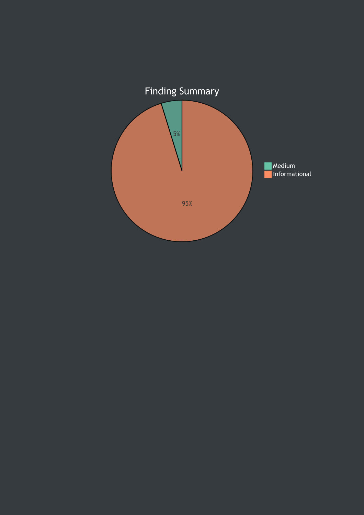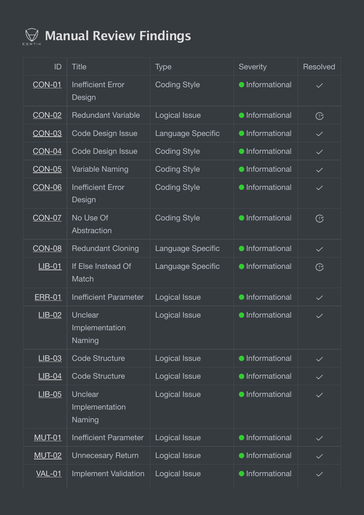

# **Manual Review Findings**

| ID            | <b>Title</b>                        | <b>Type</b>          | <b>Severity</b>        | <b>Resolved</b> |
|---------------|-------------------------------------|----------------------|------------------------|-----------------|
| <b>CON-01</b> | <b>Inefficient Error</b><br>Design  | <b>Coding Style</b>  | <b>•</b> Informational | $\checkmark$    |
| <b>CON-02</b> | <b>Redundant Variable</b>           | Logical Issue        | <b>•</b> Informational | C               |
| <b>CON-03</b> | <b>Code Design Issue</b>            | Language Specific    | <b>•</b> Informational | $\checkmark$    |
| <b>CON-04</b> | <b>Code Design Issue</b>            | <b>Coding Style</b>  | <b>•</b> Informational | $\checkmark$    |
| <b>CON-05</b> | Variable Naming                     | <b>Coding Style</b>  | <b>•</b> Informational | $\checkmark$    |
| <b>CON-06</b> | <b>Inefficient Error</b><br>Design  | <b>Coding Style</b>  | <b>•</b> Informational | $\checkmark$    |
| <b>CON-07</b> | No Use Of<br>Abstraction            | <b>Coding Style</b>  | <b>•</b> Informational | C               |
| <b>CON-08</b> | <b>Redundant Cloning</b>            | Language Specific    | <b>•</b> Informational | $\checkmark$    |
| $LIB-01$      | If Else Instead Of<br>Match         | Language Specific    | <b>•</b> Informational | C               |
| <b>ERR-01</b> | <b>Inefficient Parameter</b>        | <b>Logical Issue</b> | <b>•</b> Informational | $\checkmark$    |
| $LIB-02$      | Unclear<br>Implementation<br>Naming | <b>Logical Issue</b> | <b>•</b> Informational | $\checkmark$    |
| $LIB-03$      | <b>Code Structure</b>               | Logical Issue        | <b>•</b> Informational | $\checkmark$    |
| $LIB-04$      | <b>Code Structure</b>               | Logical Issue        | <b>•</b> Informational | $\checkmark$    |
| $LIB-05$      | Unclear<br>Implementation<br>Naming | Logical Issue        | <b>•</b> Informational | $\checkmark$    |
| <b>MUT-01</b> | <b>Inefficient Parameter</b>        | Logical Issue        | <b>•</b> Informational | $\checkmark$    |
| <b>MUT-02</b> | <b>Unnecesary Return</b>            | Logical Issue        | <b>•</b> Informational | $\checkmark$    |
| <u>VAL-01</u> | <b>Implement Validation</b>         | <b>Logical Issue</b> | <b>•</b> Informational | $\checkmark$    |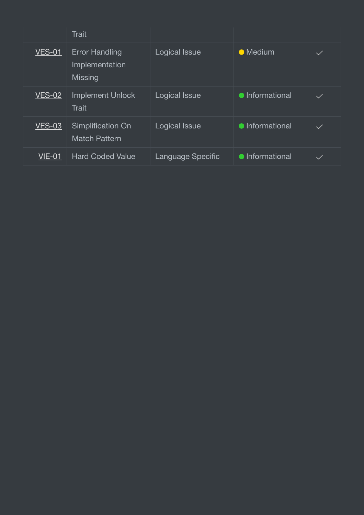|               | <b>Trait</b>                                       |                   |                        |              |
|---------------|----------------------------------------------------|-------------------|------------------------|--------------|
| <b>VES-01</b> | <b>Error Handling</b><br>Implementation<br>Missing | Logical Issue     | • Medium               |              |
| <b>VES-02</b> | <b>Implement Unlock</b><br><b>Trait</b>            | Logical Issue     | • Informational        | $\checkmark$ |
| <b>VES-03</b> | <b>Simplification On</b><br><b>Match Pattern</b>   | Logical Issue     | <b>•</b> Informational | $\checkmark$ |
| <b>VIE-01</b> | <b>Hard Coded Value</b>                            | Language Specific | <b>•</b> Informational | $\checkmark$ |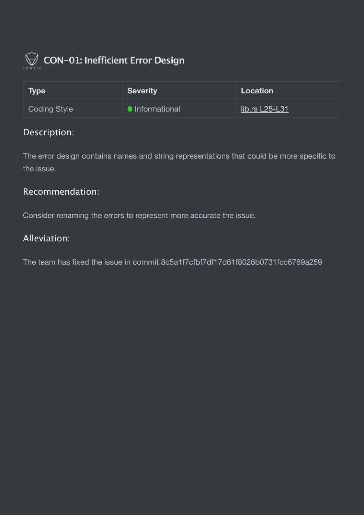

<span id="page-8-0"></span>

| <b>Type</b>  | <b>Severity</b>        | Location              |
|--------------|------------------------|-----------------------|
| Coding Style | <b>•</b> Informational | <u>lib.rs L25-L31</u> |

The error design contains names and string representations that could be more specific to the issue.

#### Recommendation:

Consider renaming the errors to represent more accurate the issue.

#### Alleviation:

The team has fixed the issue in commit 8c5a1f7cfbf7df17d61f8026b0731fcc6769a259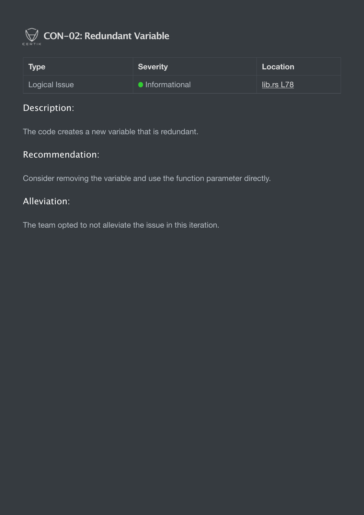

# <span id="page-9-0"></span> **CON-02: Redundant Variable**

| Type          | Severity        | Location   |
|---------------|-----------------|------------|
| Logical Issue | • Informational | lib.rs L78 |

# Description:

The code creates a new variable that is redundant.

#### Recommendation:

Consider removing the variable and use the function parameter directly.

#### Alleviation:

The team opted to not alleviate the issue in this iteration.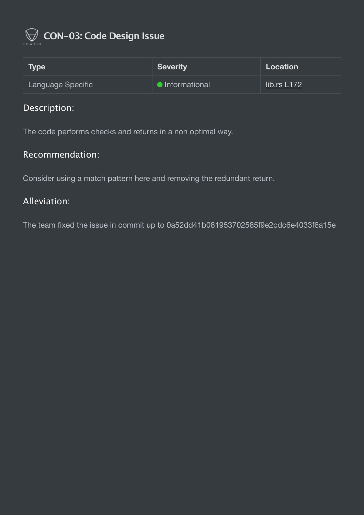

<span id="page-10-0"></span>

| <b>Type</b>       | <b>Severity</b>        | Location    |
|-------------------|------------------------|-------------|
| Language Specific | <b>•</b> Informational | lib.rs L172 |

The code performs checks and returns in a non optimal way.

#### Recommendation:

Consider using a match pattern here and removing the redundant return.

#### Alleviation: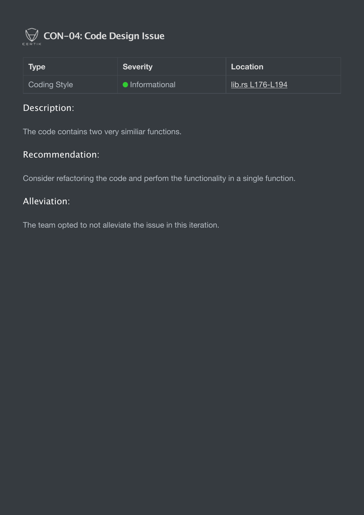

<span id="page-11-0"></span>

| <b>Type</b>  | Severity             | <b>Location</b>  |
|--------------|----------------------|------------------|
| Coding Style | <b>Informational</b> | lib.rs L176-L194 |

The code contains two very similiar functions.

#### Recommendation:

Consider refactoring the code and perfom the functionality in a single function.

#### Alleviation:

The team opted to not alleviate the issue in this iteration.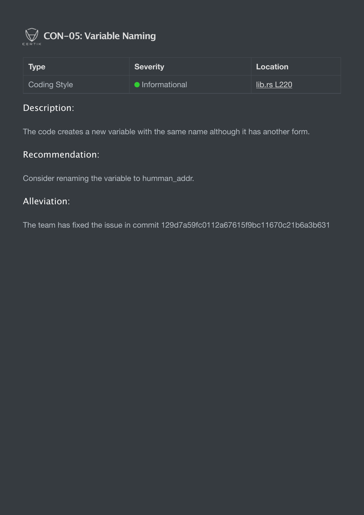

<span id="page-12-0"></span>

| Type                | <b>Severity</b> | Location    |
|---------------------|-----------------|-------------|
| <b>Coding Style</b> | lnformational   | lib.rs L220 |

The code creates a new variable with the same name although it has another form.

#### Recommendation:

Consider renaming the variable to humman\_addr.

#### Alleviation:

The team has fixed the issue in commit 129d7a59fc0112a67615f9bc11670c21b6a3b631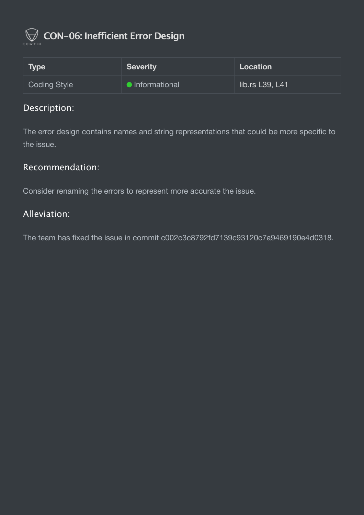

# <span id="page-13-0"></span> **CON-06: Inefficient Error Design**

| <b>Type</b>  | <b>Severity</b> | Location               |
|--------------|-----------------|------------------------|
| Coding Style | Informational   | <u>lib.rs L39, L41</u> |

### Description:

The error design contains names and string representations that could be more specific to the issue.

#### Recommendation:

Consider renaming the errors to represent more accurate the issue.

#### Alleviation:

The team has fixed the issue in commit c002c3c8792fd7139c93120c7a9469190e4d0318.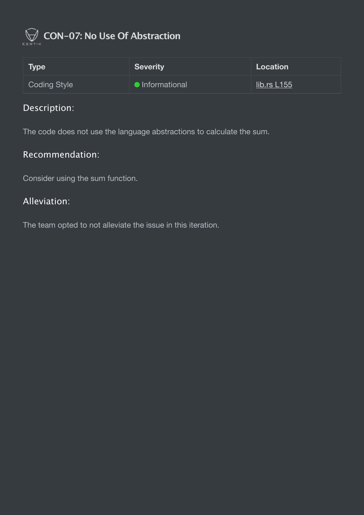

# <span id="page-14-0"></span> **CON-07: No Use Of Abstraction**

| <b>Type</b>  | <b>Severity</b> | Location    |
|--------------|-----------------|-------------|
| Coding Style | Informational   | lib.rs L155 |

# Description:

The code does not use the language abstractions to calculate the sum.

#### Recommendation:

Consider using the sum function.

#### Alleviation:

The team opted to not alleviate the issue in this iteration.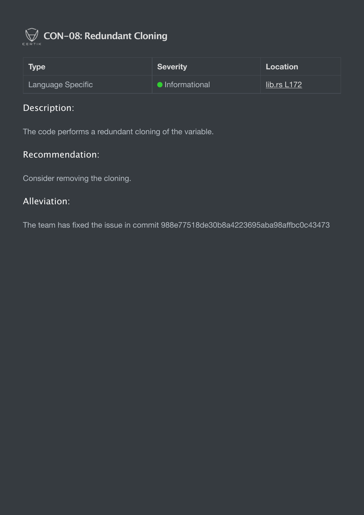

# <span id="page-15-0"></span> **CON-08: Redundant Cloning**

| <b>Type</b>       | Severity             | Location    |
|-------------------|----------------------|-------------|
| Language Specific | <b>Informational</b> | lib.rs L172 |

# Description:

The code performs a redundant cloning of the variable.

#### Recommendation:

Consider removing the cloning.

#### Alleviation:

The team has fixed the issue in commit 988e77518de30b8a4223695aba98affbc0c43473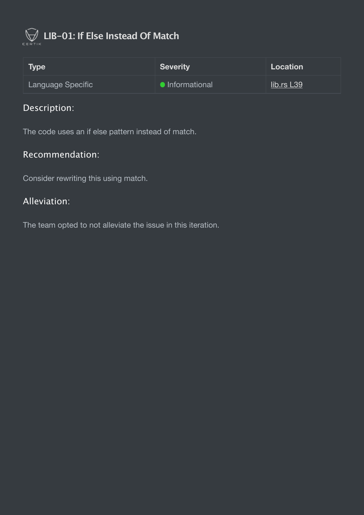

# <span id="page-16-0"></span> **LIB-01: If Else Instead Of Match**

| Type              | <b>Severity</b> | Location   |
|-------------------|-----------------|------------|
| Language Specific | • Informational | lib.rs L39 |

# Description:

The code uses an if else pattern instead of match.

#### Recommendation:

Consider rewriting this using match.

#### Alleviation:

The team opted to not alleviate the issue in this iteration.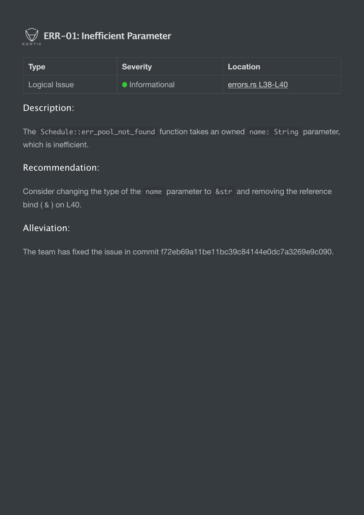

<span id="page-17-0"></span> **ERR-01: Inefficient Parameter**

| Type \        | <b>Severity</b>        | Location          |
|---------------|------------------------|-------------------|
| Logical Issue | <b>O</b> Informational | errors.rs L38-L40 |

#### Description:

The Schedule::err\_pool\_not\_found function takes an owned name: String parameter, which is inefficient.

#### Recommendation:

Consider changing the type of the name parameter to &str and removing the reference bind  $( 8 )$  on L40.

#### Alleviation:

The team has fixed the issue in commit f72eb69a11be11bc39c84144e0dc7a3269e9c090.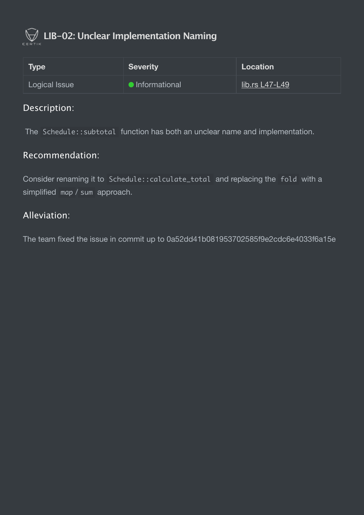

<span id="page-18-0"></span>

| <b>Type</b>   | <b>Severity</b>        | Location         |
|---------------|------------------------|------------------|
| Logical Issue | <b>O</b> Informational | $lib.rs L47-L49$ |

The Schedule::subtotal function has both an unclear name and implementation.

#### Recommendation:

Consider renaming it to Schedule::calculate\_total and replacing the fold with a simplified map / sum approach.

#### Alleviation: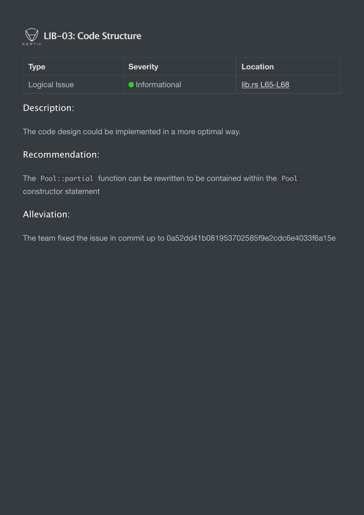

<span id="page-19-0"></span>

| Type \        | <b>Severity</b>      | Location       |
|---------------|----------------------|----------------|
| Logical Issue | <b>Informational</b> | lib.rs L65-L68 |

The code design could be implemented in a more optimal way.

#### Recommendation:

The Pool::partial function can be rewritten to be contained within the Pool constructor statement

#### Alleviation: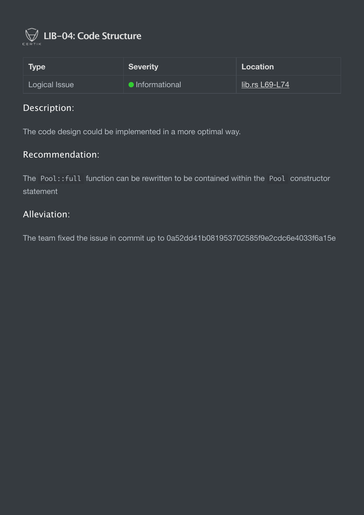

<span id="page-20-0"></span>

| <b>Type</b>   | <b>Severity</b>      | Location       |
|---------------|----------------------|----------------|
| Logical Issue | <b>Informational</b> | lib.rs L69-L74 |

The code design could be implemented in a more optimal way.

#### Recommendation:

The Pool::full function can be rewritten to be contained within the Pool constructor statement

#### Alleviation: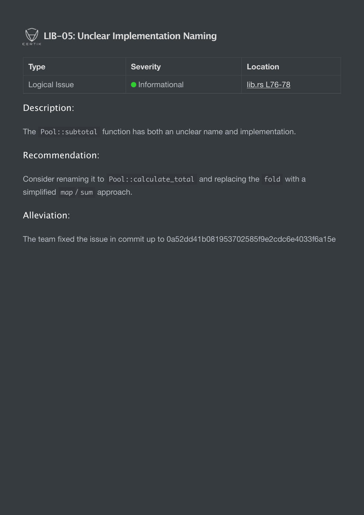

<span id="page-21-0"></span>

| <b>Type</b>   | <b>Severity</b> | Location      |
|---------------|-----------------|---------------|
| Logical Issue | lnformational   | lib.rs L76-78 |

The Pool::subtotal function has both an unclear name and implementation.

#### Recommendation:

Consider renaming it to Pool::calculate\_total and replacing the fold with a simplified map / sum approach.

#### Alleviation: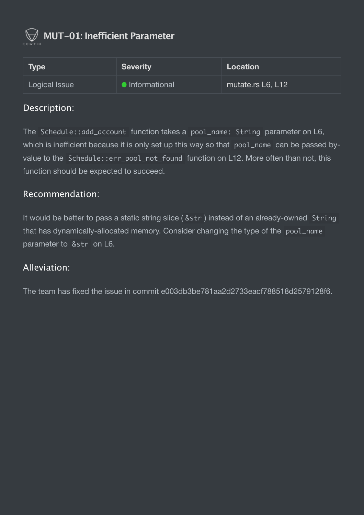

<span id="page-22-0"></span> **MUT-01: Inefficient Parameter**

| Type \        | <b>Severity</b>        | Location          |
|---------------|------------------------|-------------------|
| Logical Issue | <b>•</b> Informational | mutate.rs L6, L12 |

#### Description:

The Schedule::add\_account function takes a pool\_name: String parameter on L6, which is inefficient because it is only set up this way so that pool\_name can be passed byvalue to the Schedule::err\_pool\_not\_found function on L12. More often than not, this function should be expected to succeed.

#### Recommendation:

It would be better to pass a static string slice ( &str ) instead of an already-owned String that has dynamically-allocated memory. Consider changing the type of the pool\_name parameter to &str on L6.

#### Alleviation:

The team has fixed the issue in commit e003db3be781aa2d2733eacf788518d2579128f6.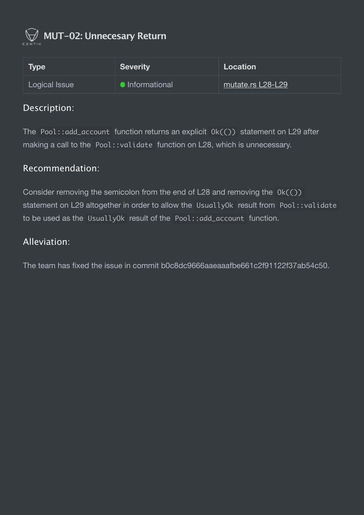

<span id="page-23-0"></span> **MUT-02: Unnecesary Return**

| <b>Type</b>   | <b>Severity</b>        | Location          |
|---------------|------------------------|-------------------|
| Logical Issue | <b>•</b> Informational | mutate.rs L28-L29 |

#### Description:

The Pool::add\_account function returns an explicit  $Ok(C)$  statement on L29 after making a call to the Pool:: validate function on L28, which is unnecessary.

#### Recommendation:

Consider removing the semicolon from the end of L28 and removing the  $0k(\circ)$ ) statement on L29 altogether in order to allow the UsuallyOk result from Pool::validate to be used as the UsuallyOk result of the Pool::add\_account function.

### Alleviation:

The team has fixed the issue in commit b0c8dc9666aaeaaafbe661c2f91122f37ab54c50.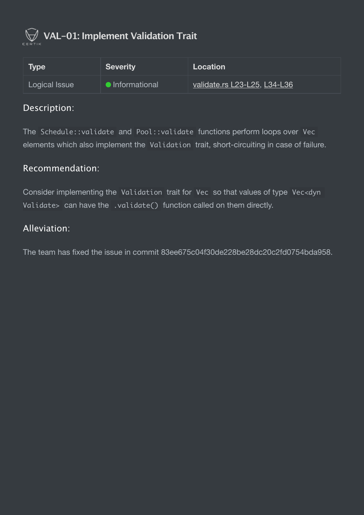

# <span id="page-24-0"></span> **VAL-01: Implement Validation Trait**

| Type          | Severity        | Location                     |
|---------------|-----------------|------------------------------|
| Logical Issue | • Informational | validate.rs L23-L25, L34-L36 |

#### Description:

The Schedule::validate and Pool::validate functions perform loops over Vec elements which also implement the Validation trait, short-circuiting in case of failure.

#### Recommendation:

Consider implementing the Validation trait for Vec so that values of type Vec<dyn Validate> can have the .validate() function called on them directly.

#### Alleviation:

The team has fixed the issue in commit 83ee675c04f30de228be28dc20c2fd0754bda958.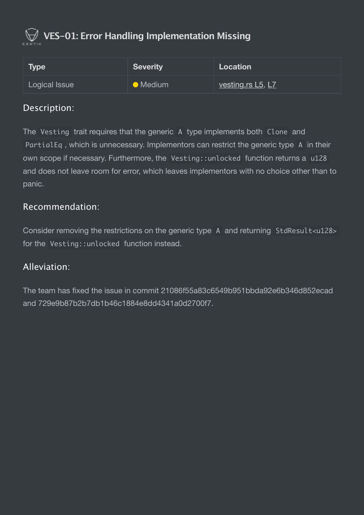# <span id="page-25-0"></span> **VES-01: Error Handling Implementation Missing**

| Type          | <b>Severity</b>  | Location                 |
|---------------|------------------|--------------------------|
| Logical Issue | $\bullet$ Medium | <u>vesting.rs L5, L7</u> |

### Description:

The Vesting trait requires that the generic A type implements both Clone and PartialEq , which is unnecessary. Implementors can restrict the generic type A in their own scope if necessary. Furthermore, the Vesting::unlocked function returns a u128 and does not leave room for error, which leaves implementors with no choice other than to panic.

#### Recommendation:

Consider removing the restrictions on the generic type A and returning StdResult<u128> for the Vesting::unlocked function instead.

#### Alleviation:

The team has fixed the issue in commit 21086f55a83c6549b951bbda92e6b346d852ecad and 729e9b87b2b7db1b46c1884e8dd4341a0d2700f7.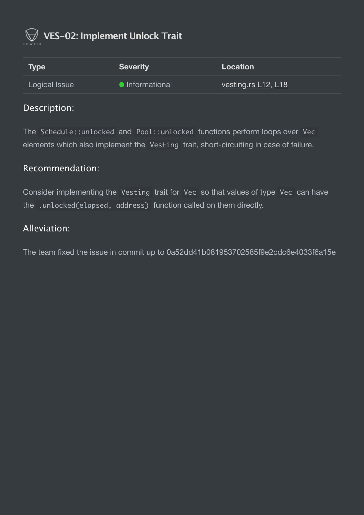

# <span id="page-26-0"></span> **VES-02: Implement Unlock Trait**

| <b>Type</b>   | <b>Severity</b>      | Location                   |
|---------------|----------------------|----------------------------|
| Logical Issue | <b>Informational</b> | <u>vesting.rs L12, L18</u> |

#### Description:

The Schedule::unlocked and Pool::unlocked functions perform loops over Vec elements which also implement the Vesting trait, short-circuiting in case of failure.

#### Recommendation:

Consider implementing the Vesting trait for Vec so that values of type Vec can have the .unlocked(elapsed, address) function called on them directly.

#### Alleviation: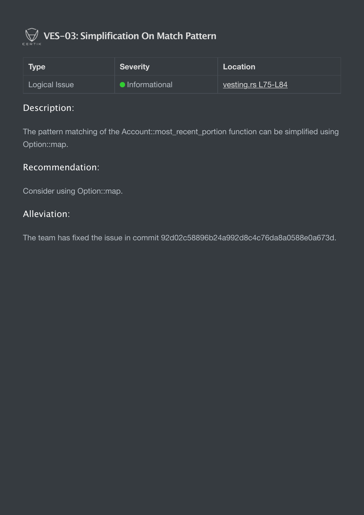# <span id="page-27-0"></span> **VES-03: Simplification On Match Pattern**

| <b>Type</b>   | <b>Severity</b>      | <b>Location</b>           |
|---------------|----------------------|---------------------------|
| Logical Issue | <b>Informational</b> | <u>vesting.rs L75-L84</u> |

### Description:

The pattern matching of the Account::most\_recent\_portion function can be simplified using Option::map.

# Recommendation:

Consider using Option::map.

### Alleviation:

The team has fixed the issue in commit 92d02c58896b24a992d8c4c76da8a0588e0a673d.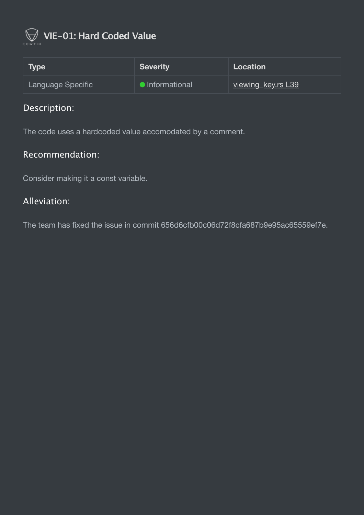

# <span id="page-28-0"></span> **VIE-01: Hard Coded Value**

| Type              | <b>Severity</b> | Location                  |
|-------------------|-----------------|---------------------------|
| Language Specific | • Informational | <u>viewing key.rs L39</u> |

# Description:

The code uses a hardcoded value accomodated by a comment.

#### Recommendation:

Consider making it a const variable.

#### Alleviation:

The team has fixed the issue in commit 656d6cfb00c06d72f8cfa687b9e95ac65559ef7e.